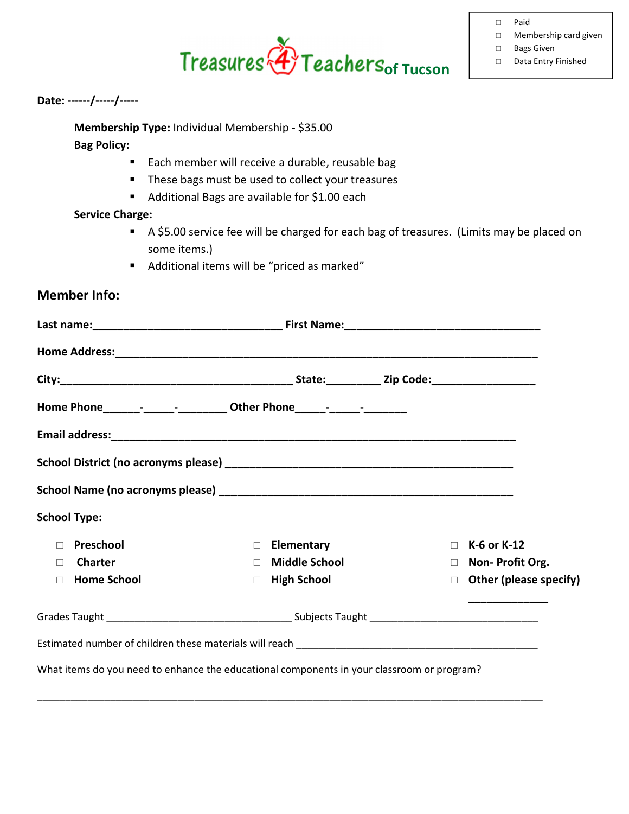

 $\Box$ 

- Membership card given
- □ Bags Given
- Data Entry Finished

## Date: ------/-----/-----

Membership Type: Individual Membership - \$35.00 Bag Policy:

- **Each member will receive a durable, reusable bag**
- **These bags must be used to collect your treasures**
- Additional Bags are available for \$1.00 each

## Service Charge:

- A \$5.00 service fee will be charged for each bag of treasures. (Limits may be placed on some items.)
- Additional items will be "priced as marked"

| <b>Member Info:</b>                                                                        |                   |                               |  |
|--------------------------------------------------------------------------------------------|-------------------|-------------------------------|--|
|                                                                                            |                   |                               |  |
|                                                                                            |                   |                               |  |
|                                                                                            |                   |                               |  |
| Home Phone________________________ Other Phone__________________________________           |                   |                               |  |
|                                                                                            |                   |                               |  |
|                                                                                            |                   |                               |  |
|                                                                                            |                   |                               |  |
| <b>School Type:</b>                                                                        |                   |                               |  |
| Preschool<br>П                                                                             | $\Box$ Elementary | K-6 or K-12<br>$\Box$         |  |
| <b>Charter</b><br>П                                                                        | □ Middle School   | Non-Profit Org.<br>$\Box$     |  |
| <b>Home School</b><br>П                                                                    | □ High School     | $\Box$ Other (please specify) |  |
|                                                                                            |                   |                               |  |
|                                                                                            |                   |                               |  |
| What items do you need to enhance the educational components in your classroom or program? |                   |                               |  |
|                                                                                            |                   |                               |  |